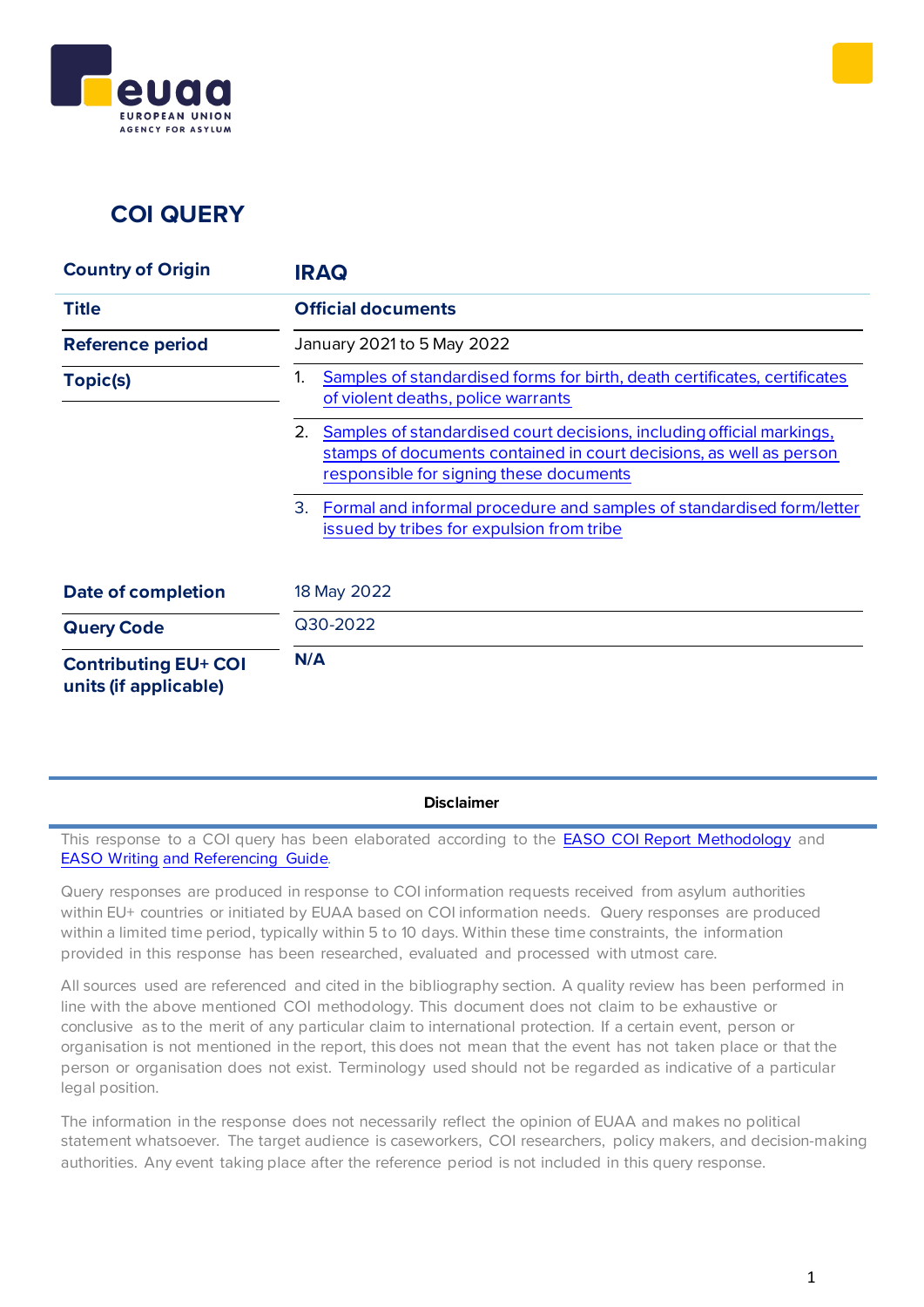

# **COI QUERY**

| <b>Country of Origin</b>                             | <b>IRAQ</b>                                                                                                                                                                                   |
|------------------------------------------------------|-----------------------------------------------------------------------------------------------------------------------------------------------------------------------------------------------|
| <b>Title</b>                                         | <b>Official documents</b>                                                                                                                                                                     |
| <b>Reference period</b>                              | January 2021 to 5 May 2022                                                                                                                                                                    |
| Topic(s)                                             | Samples of standardised forms for birth, death certificates, certificates<br>1.<br>of violent deaths, police warrants                                                                         |
|                                                      | 2.<br>Samples of standardised court decisions, including official markings,<br>stamps of documents contained in court decisions, as well as person<br>responsible for signing these documents |
|                                                      | 3.<br>Formal and informal procedure and samples of standardised form/letter<br>issued by tribes for expulsion from tribe                                                                      |
| <b>Date of completion</b>                            | 18 May 2022                                                                                                                                                                                   |
| <b>Query Code</b>                                    | Q30-2022                                                                                                                                                                                      |
| <b>Contributing EU+ COI</b><br>units (if applicable) | N/A                                                                                                                                                                                           |

**Disclaimer**

This response to a COI query has been elaborated according to the **EASO COI Report [Methodology](https://coi.easo.europa.eu/administration/easo/PLib/2019_EASO_COI_Report_Methodology.pdf)** and EASO [Writing](https://coi.easo.europa.eu/administration/easo/PLib/2019_EASO_COI_Writing_and_Referencing_Guide.pdf) and [Referencing](https://coi.easo.europa.eu/administration/easo/PLib/2019_EASO_COI_Writing_and_Referencing_Guide.pdf) Guide*.*

Query responses are produced in response to COI information requests received from asylum authorities within EU+ countries or initiated by EUAA based on COI information needs. Query responses are produced within a limited time period, typically within 5 to 10 days. Within these time constraints, the information provided in this response has been researched, evaluated and processed with utmost care.

All sources used are referenced and cited in the bibliography section. A quality review has been performed in line with the above mentioned COI methodology. This document does not claim to be exhaustive or conclusive as to the merit of any particular claim to international protection. If a certain event, person or organisation is not mentioned in the report, this does not mean that the event has not taken place or that the person or organisation does not exist. Terminology used should not be regarded as indicative of a particular legal position.

The information in the response does not necessarily reflect the opinion of EUAA and makes no political statement whatsoever. The target audience is caseworkers, COI researchers, policy makers, and decision-making authorities. Any event taking place after the reference period is not included in this query response.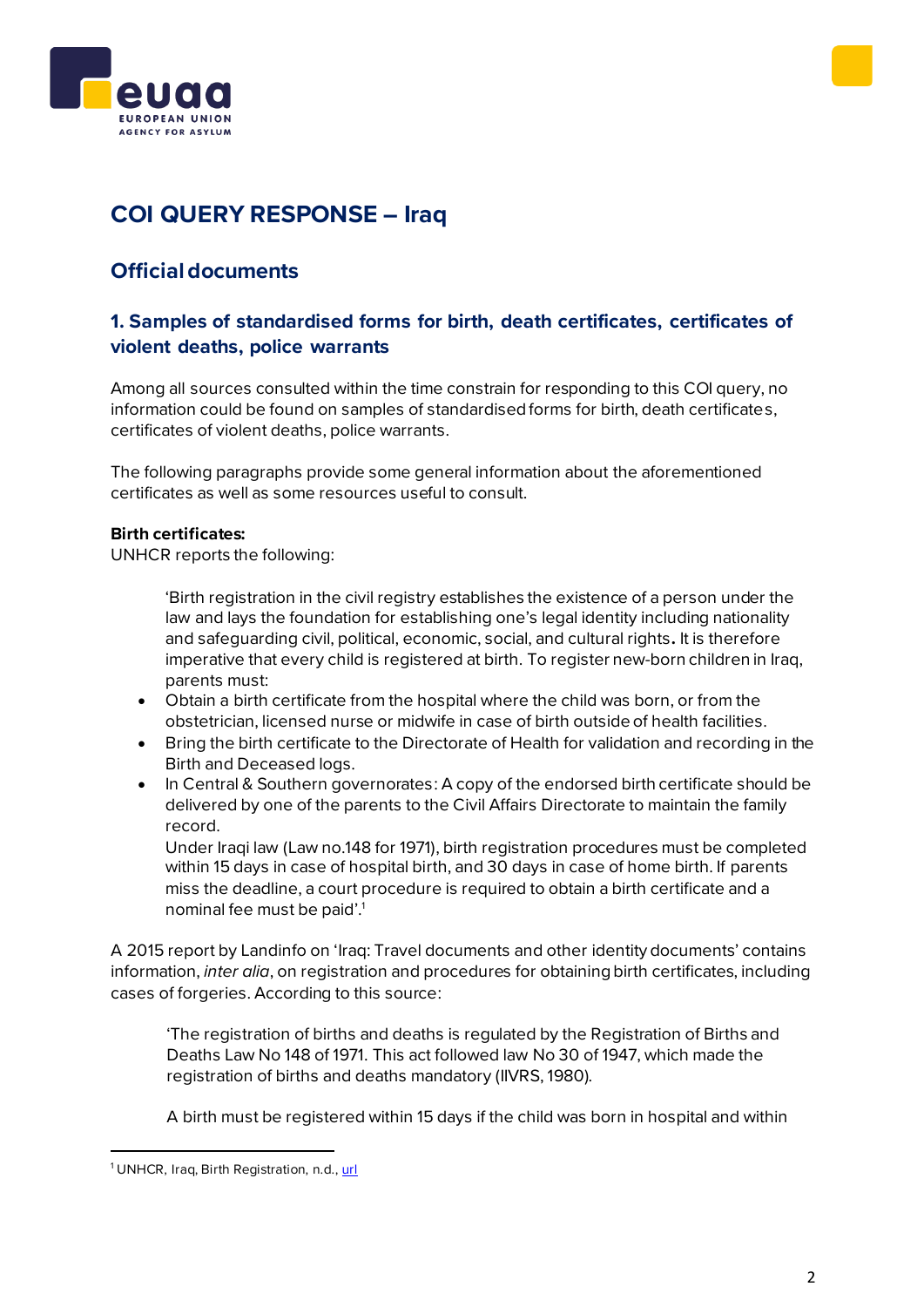



# **COI QUERY RESPONSE – Iraq**

# **Official documents**

# <span id="page-1-0"></span>**1. Samples of standardised forms for birth, death certificates, certificates of violent deaths, police warrants**

Among all sources consulted within the time constrain for responding to this COI query, no information could be found on samples of standardised forms for birth, death certificates, certificates of violent deaths, police warrants.

The following paragraphs provide some general information about the aforementioned certificates as well as some resources useful to consult.

## **Birth certificates:**

UNHCR reports the following:

'Birth registration in the civil registry establishes the existence of a person under the law and lays the foundation for establishing one's legal identity including nationality and safeguarding civil, political, economic, social, and cultural rights**.** It is therefore imperative that every child is registered at birth. To register new-born children in Iraq, parents must:

- Obtain a birth certificate from the hospital where the child was born, or from the obstetrician, licensed nurse or midwife in case of birth outside of health facilities.
- Bring the birth certificate to the Directorate of Health for validation and recording in the Birth and Deceased logs.
- In Central & Southern governorates: A copy of the endorsed birth certificate should be delivered by one of the parents to the Civil Affairs Directorate to maintain the family record.

Under Iraqi law (Law no.148 for 1971), birth registration procedures must be completed within 15 days in case of hospital birth, and 30 days in case of home birth. If parents miss the deadline, a court procedure is required to obtain a birth certificate and a nominal fee must be paid'. 1

A 2015 report by Landinfo on 'Iraq: Travel documents and other identity documents' contains information, *inter alia*, on registration and procedures for obtaining birth certificates, including cases of forgeries. According to this source:

'The registration of births and deaths is regulated by the Registration of Births and Deaths Law No 148 of 1971. This act followed law No 30 of 1947, which made the registration of births and deaths mandatory (IIVRS, 1980).

A birth must be registered within 15 days if the child was born in hospital and within

<sup>&</sup>lt;sup>1</sup> UNHCR, Iraq, Birth Registration, n.d., [url](https://help.unhcr.org/iraq/en/rights-and-obligations/birth-registration/)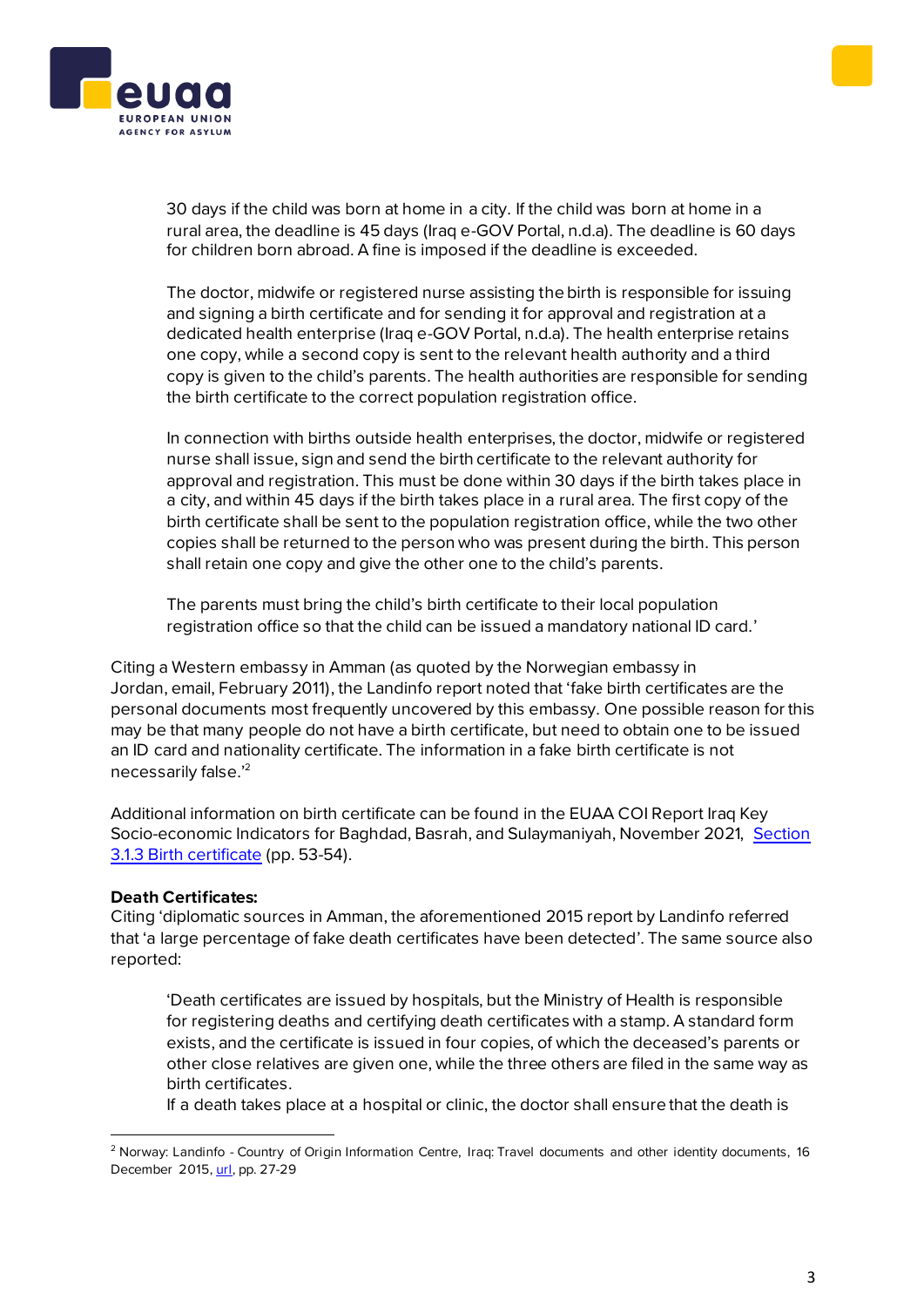



30 days if the child was born at home in a city. If the child was born at home in a rural area, the deadline is 45 days (Iraq e-GOV Portal, n.d.a). The deadline is 60 days for children born abroad. A fine is imposed if the deadline is exceeded.

The doctor, midwife or registered nurse assisting the birth is responsible for issuing and signing a birth certificate and for sending it for approval and registration at a dedicated health enterprise (Iraq e-GOV Portal, n.d.a). The health enterprise retains one copy, while a second copy is sent to the relevant health authority and a third copy is given to the child's parents. The health authorities are responsible for sending the birth certificate to the correct population registration office.

In connection with births outside health enterprises, the doctor, midwife or registered nurse shall issue, sign and send the birth certificate to the relevant authority for approval and registration. This must be done within 30 days if the birth takes place in a city, and within 45 days if the birth takes place in a rural area. The first copy of the birth certificate shall be sent to the population registration office, while the two other copies shall be returned to the person who was present during the birth. This person shall retain one copy and give the other one to the child's parents.

The parents must bring the child's birth certificate to their local population registration office so that the child can be issued a mandatory national ID card.'

Citing a Western embassy in Amman (as quoted by the Norwegian embassy in Jordan, email, February 2011), the Landinfo report noted that 'fake birth certificates are the personal documents most frequently uncovered by this embassy. One possible reason for this may be that many people do not have a birth certificate, but need to obtain one to be issued an ID card and nationality certificate. The information in a fake birth certificate is not necessarily false.' 2

Additional information on birth certificate can be found in the EUAA COI Report Iraq Key Socio-economic Indicators for Baghdad, Basrah, and Sulaymaniyah, November 2021, [Section](https://coi.euaa.europa.eu/administration/easo/PLib/2021_11_EASO_COI_Report_Iraq_Key_socioeconomic_indicators_for_Baghdad_Basrah_and_Sulaymaniyah.pdf)  [3.1.3 Birth certificate](https://coi.euaa.europa.eu/administration/easo/PLib/2021_11_EASO_COI_Report_Iraq_Key_socioeconomic_indicators_for_Baghdad_Basrah_and_Sulaymaniyah.pdf) (pp. 53-54).

## **Death Certificates:**

Citing 'diplomatic sources in Amman, the aforementioned 2015 report by Landinfo referred that 'a large percentage of fake death certificates have been detected'. The same source also reported:

'Death certificates are issued by hospitals, but the Ministry of Health is responsible for registering deaths and certifying death certificates with a stamp. A standard form exists, and the certificate is issued in four copies, of which the deceased's parents or other close relatives are given one, while the three others are filed in the same way as birth certificates.

If a death takes place at a hospital or clinic, the doctor shall ensure that the death is

<sup>&</sup>lt;sup>2</sup> Norway: Landinfo - Country of Origin Information Centre, Iraq: Travel documents and other identity documents, 16 December 2015, [url,](https://www.landinfo.no/asset/3369/1/3369_1.pdf) pp. 27-29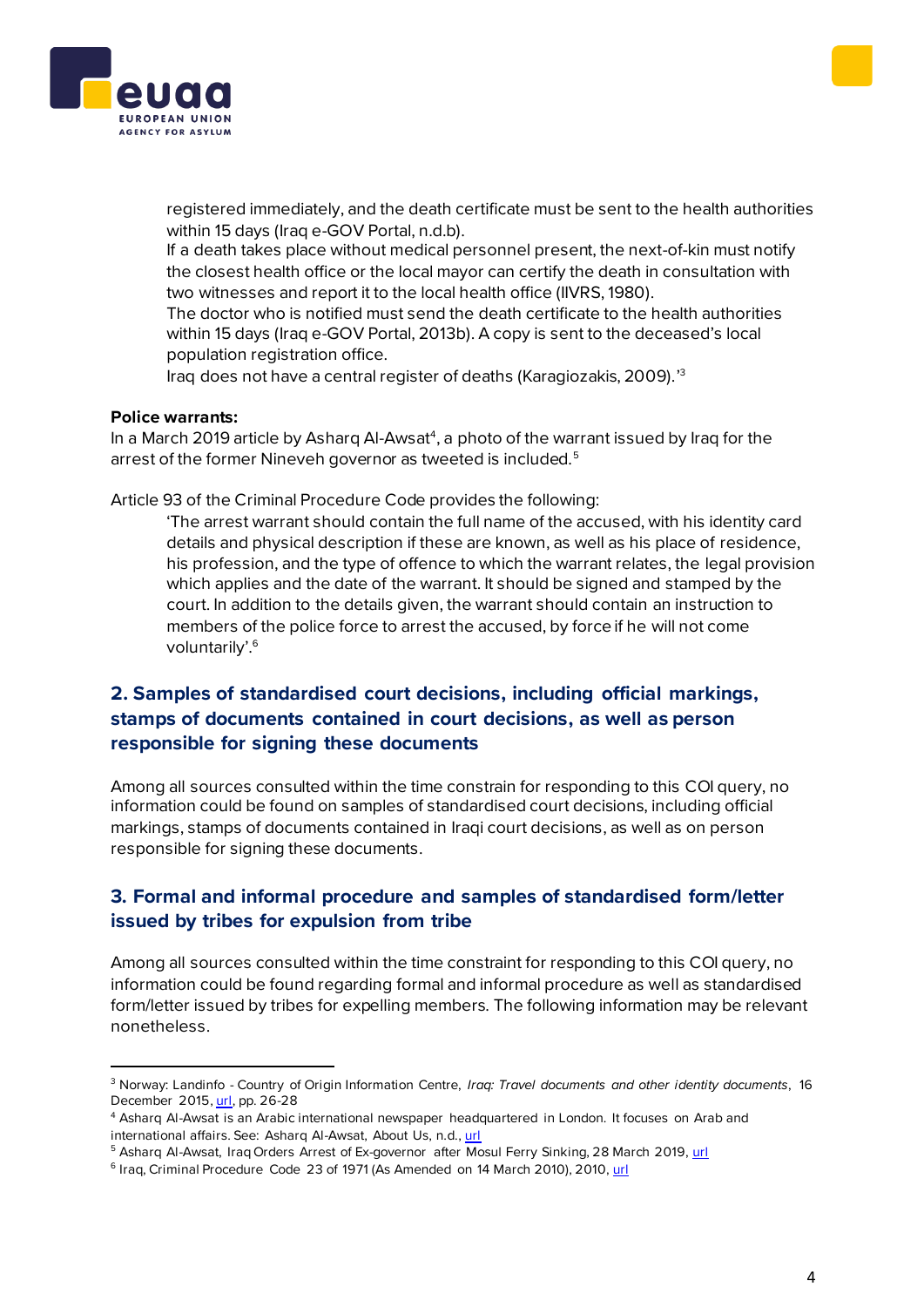



registered immediately, and the death certificate must be sent to the health authorities within 15 days (Iraq e-GOV Portal, n.d.b).

If a death takes place without medical personnel present, the next-of-kin must notify the closest health office or the local mayor can certify the death in consultation with two witnesses and report it to the local health office (IIVRS, 1980).

The doctor who is notified must send the death certificate to the health authorities within 15 days (Iraq e-GOV Portal, 2013b). A copy is sent to the deceased's local population registration office.

Iraq does not have a central register of deaths (Karagiozakis, 2009).' 3

## **Police warrants:**

In a March 2019 article by Asharq Al-Awsat<sup>4</sup>, a photo of the warrant issued by Iraq for the arrest of the former Nineveh governor as tweeted is included.<sup>5</sup>

Article 93 of the Criminal Procedure Code provides the following:

'The arrest warrant should contain the full name of the accused, with his identity card details and physical description if these are known, as well as his place of residence, his profession, and the type of offence to which the warrant relates, the legal provision which applies and the date of the warrant. It should be signed and stamped by the court. In addition to the details given, the warrant should contain an instruction to members of the police force to arrest the accused, by force if he will not come voluntarily'.<sup>6</sup>

# <span id="page-3-0"></span>**2. Samples of standardised court decisions, including official markings, stamps of documents contained in court decisions, as well as person responsible for signing these documents**

Among all sources consulted within the time constrain for responding to this COI query, no information could be found on samples of standardised court decisions, including official markings, stamps of documents contained in Iraqi court decisions, as well as on person responsible for signing these documents.

## <span id="page-3-1"></span>**3. Formal and informal procedure and samples of standardised form/letter issued by tribes for expulsion from tribe**

Among all sources consulted within the time constraint for responding to this COI query, no information could be found regarding formal and informal procedure as well as standardised form/letter issued by tribes for expelling members. The following information may be relevant nonetheless.

<sup>3</sup> Norway: Landinfo - Country of Origin Information Centre, *Iraq: Travel documents and other identity documents*, 16 December 2015[, url,](https://www.landinfo.no/asset/3369/1/3369_1.pdf) pp. 26-28

<sup>4</sup> Asharq Al-Awsat is an Arabic international newspaper headquartered in London. It focuses on Arab and international affairs. See: Asharq Al-Awsat, About Us, n.d.[, url](https://english.aawsat.com/home/page/1005421)

<sup>&</sup>lt;sup>5</sup> Asharq Al-Awsat, Iraq Orders Arrest of Ex-governor after Mosul Ferry Sinking, 28 March 2019[, url](https://english.aawsat.com/home/article/1654006/iraq-orders-arrest-ex-governor-after-mosul-ferry-sinking)

<sup>&</sup>lt;sup>6</sup> Iraq, Criminal Procedure Code 23 of 1971 (As Amended on 14 March 2010), 2010[, url](http://hrlibrary.umn.edu/research/Egypt/Criminal%20Procedures.pdf)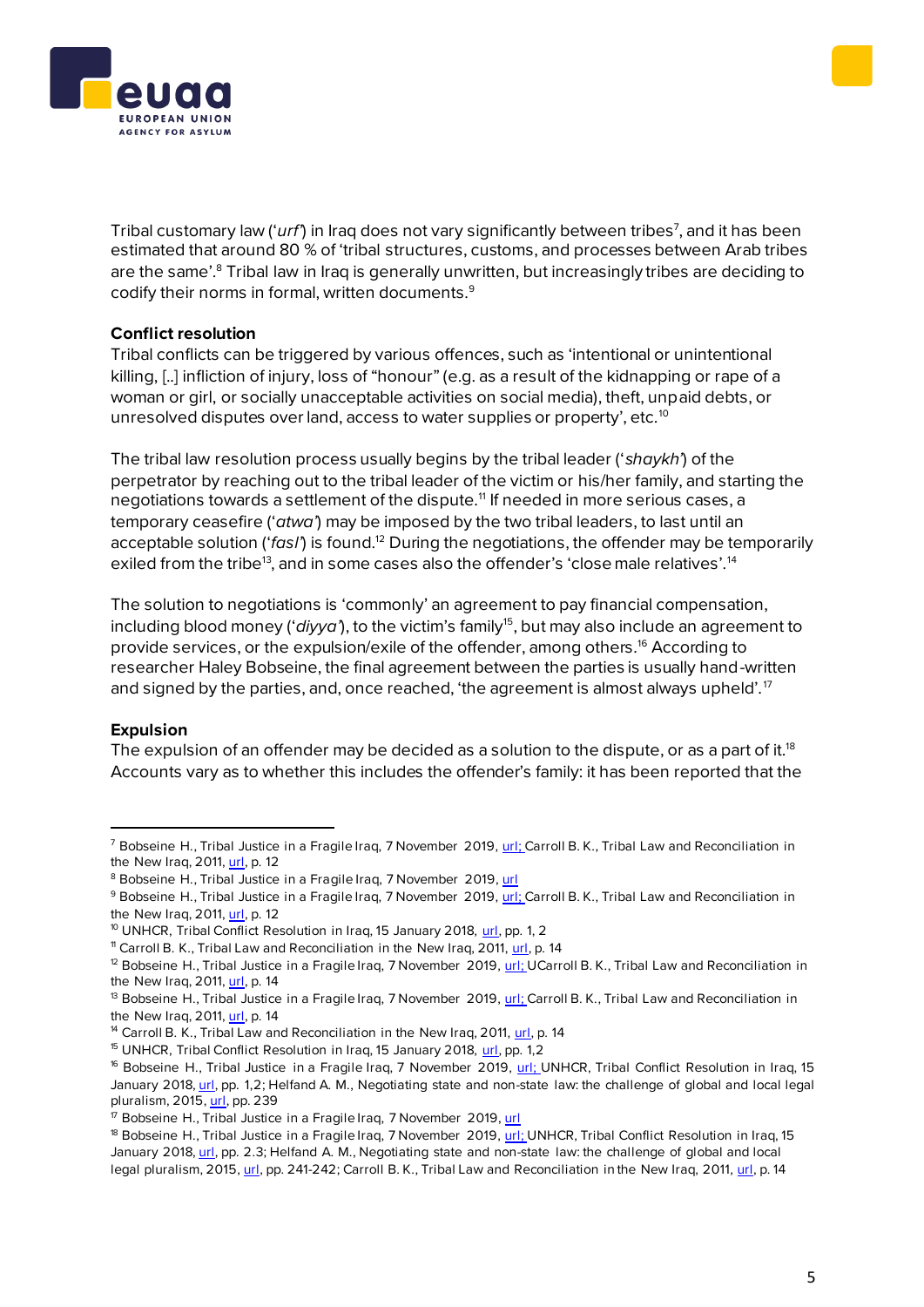



Tribal customary law ('*urf*') in Iraq does not vary significantly between tribes<sup>7</sup>, and it has been estimated that around 80 % of 'tribal structures, customs, and processes between Arab tribes are the same'.<sup>8</sup> Tribal law in Iraq is generally unwritten, but increasingly tribes are deciding to codify their norms in formal, written documents.<sup>9</sup>

## **Conflict resolution**

Tribal conflicts can be triggered by various offences, such as 'intentional or unintentional killing, [..] infliction of injury, loss of "honour" (e.g. as a result of the kidnapping or rape of a woman or girl, or socially unacceptable activities on social media), theft, unpaid debts, or unresolved disputes over land, access to water supplies or property', etc.<sup>10</sup>

The tribal law resolution process usually begins by the tribal leader ('*shaykh'*) of the perpetrator by reaching out to the tribal leader of the victim or his/her family, and starting the negotiations towards a settlement of the dispute.<sup>11</sup> If needed in more serious cases, a temporary ceasefire ('*atwa'*) may be imposed by the two tribal leaders, to last until an acceptable solution ('fasl') is found.<sup>12</sup> During the negotiations, the offender may be temporarily exiled from the tribe<sup>13</sup>, and in some cases also the offender's 'close male relatives'.<sup>14</sup>

The solution to negotiations is 'commonly' an agreement to pay financial compensation, including blood money ('*diyya*'), to the victim's family<sup>15</sup>, but may also include an agreement to provide services, or the expulsion/exile of the offender, among others.<sup>16</sup> According to researcher Haley Bobseine, the final agreement between the parties is usually hand-written and signed by the parties, and, once reached, 'the agreement is almost always upheld'.<sup>17</sup>

## **Expulsion**

The expulsion of an offender may be decided as a solution to the dispute, or as a part of it.<sup>18</sup> Accounts vary as to whether this includes the offender's family: it has been reported that the

 $^7$  Bobseine H., Tribal Justice in a Fragile Irag, 7 November 2019[, url](https://tcf.org/content/report/tribal-justice-fragile-iraq/); Carroll B. K., Tribal Law and Reconciliation in the New Iraq, 2011[, url,](https://www.jstor.org/stable/23012091?seq=1) p. 12

<sup>&</sup>lt;sup>8</sup> Bobseine H., Tribal Justice in a Fragile Iraq, 7 November 2019[, url](https://tcf.org/content/report/tribal-justice-fragile-iraq/)

<sup>&</sup>lt;sup>9</sup> Bobseine H., Tribal Justice in a Fragile Irag, 7 November 2019[, url;](https://tcf.org/content/report/tribal-justice-fragile-iraq/) Carroll B. K., Tribal Law and Reconciliation in the New Iraq, 2011[, url,](https://www.jstor.org/stable/23012091?seq=1) p. 12

<sup>&</sup>lt;sup>10</sup> UNHCR, Tribal Conflict Resolution in Iraq, 15 January 2018, [url,](https://www.refworld.org/pdfid/5a66f84f4.pdf) pp. 1, 2

<sup>&</sup>lt;sup>11</sup> Carroll B. K., Tribal Law and Reconciliation in the New Iraq, 2011, [url,](https://www.jstor.org/stable/23012091?seq=1) p. 14

 $12$  Bobseine H., Tribal Justice in a Fragile Iraq, 7 November 2019,  $url$ ; UCarroll B. K., Tribal Law and Reconciliation in</u> the New Iraq, 2011[, url,](https://www.jstor.org/stable/23012091?seq=1) p. 14

 $13$  Bobseine H., Tribal Justice in a Fragile Iraq, 7 November 2019,  $url$ ; Carroll B. K., Tribal Law and Reconciliation in</u> the New Iraq, 2011[, url,](https://www.jstor.org/stable/23012091?seq=1) p. 14

<sup>&</sup>lt;sup>14</sup> Carroll B. K., Tribal Law and Reconciliation in the New Iraq, 2011, [url,](https://www.jstor.org/stable/23012091?seq=1) p. 14

<sup>&</sup>lt;sup>15</sup> UNHCR, Tribal Conflict Resolution in Iraq, 15 January 2018, [url,](https://www.refworld.org/pdfid/5a66f84f4.pdf) pp. 1,2

<sup>&</sup>lt;sup>16</sup> Bobseine H., Tribal Justice in a Fragile Irag, 7 November 2019, [url;](https://tcf.org/content/report/tribal-justice-fragile-iraq/) UNHCR, Tribal Conflict Resolution in Irag, 15 January 2018[, url,](https://www.refworld.org/pdfid/5a66f84f4.pdf) pp. 1,2; Helfand A. M., Negotiating state and non-state law: the challenge of global and local legal pluralism, 2015[, url,](https://books.google.com.mt/books?id=f4lsCQAAQBAJ&pg) pp. 239

<sup>&</sup>lt;sup>17</sup> Bobseine H., Tribal Justice in a Fragile Iraq, 7 November 2019[, url](https://tcf.org/content/report/tribal-justice-fragile-iraq/)

<sup>&</sup>lt;sup>18</sup> Bobseine H., Tribal Justice in a Fragile Iraq, 7 November 2019[, url;](https://tcf.org/content/report/tribal-justice-fragile-iraq/) UNHCR, Tribal Conflict Resolution in Iraq, 15 January 2018[, url,](https://www.refworld.org/pdfid/5a66f84f4.pdf) pp. 2.3; Helfand A. M., Negotiating state and non-state law: the challenge of global and local legal pluralism, 2015[, url,](https://www.jstor.org/stable/23012091?seq=1) pp. 241-242; Carroll B. K., Tribal Law and Reconciliation in the New Iraq, 2011, url, p. 14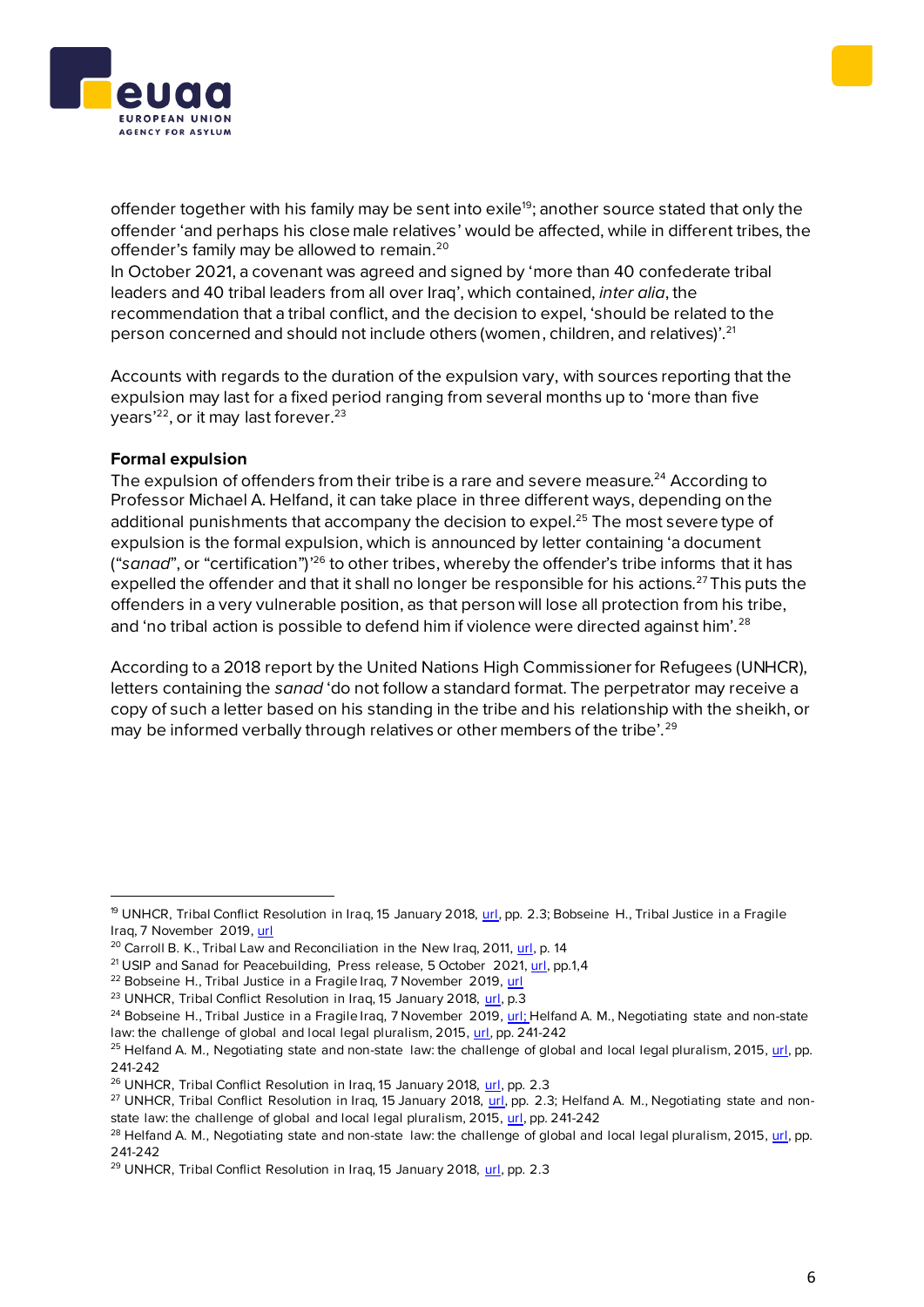



offender together with his family may be sent into exile<sup>19</sup>; another source stated that only the offender 'and perhaps his close male relatives' would be affected, while in different tribes, the offender's family may be allowed to remain.<sup>20</sup>

In October 2021, a covenant was agreed and signed by 'more than 40 confederate tribal leaders and 40 tribal leaders from all over Iraq', which contained, *inter alia*, the recommendation that a tribal conflict, and the decision to expel, 'should be related to the person concerned and should not include others (women, children, and relatives)'.<sup>21</sup>

Accounts with regards to the duration of the expulsion vary, with sources reporting that the expulsion may last for a fixed period ranging from several months up to 'more than five years<sup>'22</sup>, or it may last forever.<sup>23</sup>

## **Formal expulsion**

The expulsion of offenders from their tribe is a rare and severe measure.<sup>24</sup> According to Professor Michael A. Helfand, it can take place in three different ways, depending on the additional punishments that accompany the decision to expel.<sup>25</sup> The most severe type of expulsion is the formal expulsion, which is announced by letter containing 'a document ("sanad", or "certification")<sup>'26</sup> to other tribes, whereby the offender's tribe informs that it has expelled the offender and that it shall no longer be responsible for his actions.<sup>27</sup> This puts the offenders in a very vulnerable position, as that person will lose all protection from his tribe, and 'no tribal action is possible to defend him if violence were directed against him'.<sup>28</sup>

According to a 2018 report by the United Nations High Commissioner for Refugees (UNHCR), letters containing the *sanad* 'do not follow a standard format. The perpetrator may receive a copy of such a letter based on his standing in the tribe and his relationship with the sheikh, or may be informed verbally through relatives or other members of the tribe'.<sup>29</sup>

<sup>19</sup> UNHCR, Tribal Conflict Resolution in Iraq, 15 January 2018, [url,](https://www.refworld.org/pdfid/5a66f84f4.pdf) pp. 2.3; Bobseine H., Tribal Justice in a Fragile Iraq, 7 November 2019[, url](https://tcf.org/content/report/tribal-justice-fragile-iraq/)

<sup>&</sup>lt;sup>20</sup> Carroll B. K., Tribal Law and Reconciliation in the New Iraq, 2011[, url,](https://www.jstor.org/stable/23012091?seq=1) p. 14

<sup>&</sup>lt;sup>21</sup> USIP and Sanad for Peacebuilding, Press release, 5 October 2021, [url,](https://reliefweb.int/sites/reliefweb.int/files/resources/Press%20Release%20-%20Announcing%20the%20Tribal%20covenant.pdf) pp.1,4

<sup>&</sup>lt;sup>22</sup> Bobseine H., Tribal Justice in a Fragile Iraq, 7 November 2019[, url](https://tcf.org/content/report/tribal-justice-fragile-iraq/)

<sup>&</sup>lt;sup>23</sup> UNHCR, Tribal Conflict Resolution in Iraq, 15 January 2018[, url,](https://www.refworld.org/pdfid/5a66f84f4.pdf) p.3

 $24$  Bobseine H., Tribal Justice in a Fragile Irag, 7 November 2019[, url;](https://tcf.org/content/report/tribal-justice-fragile-iraq/) Helfand A. M., Negotiating state and non-state law: the challenge of global and local legal pluralism, 2015[, url,](https://books.google.com.mt/books?id=f4lsCQAAQBAJ&pg) pp. 241-242

 $25$  Helfand A. M., Negotiating state and non-state law: the challenge of global and local legal pluralism, 2015[, url,](https://books.google.com.mt/books?id=f4lsCQAAQBAJ&pg) pp. 241-242

<sup>&</sup>lt;sup>26</sup> UNHCR, Tribal Conflict Resolution in Iraq, 15 January 2018[, url,](https://www.refworld.org/pdfid/5a66f84f4.pdf) pp. 2.3

<sup>&</sup>lt;sup>27</sup> UNHCR, Tribal Conflict Resolution in Iraq, 15 January 2018, [url,](https://www.refworld.org/pdfid/5a66f84f4.pdf) pp. 2.3; Helfand A. M., Negotiating state and non-state law: the challenge of global and local legal pluralism, 2015[, url](https://books.google.com.mt/books?id=f4lsCQAAQBAJ&pg), pp. 241-242

 $^{28}$  Helfand A. M., Negotiating state and non-state law: the challenge of global and local legal pluralism, 2015,  $url$ , pp.</u> 241-242

<sup>&</sup>lt;sup>29</sup> UNHCR, Tribal Conflict Resolution in Iraq, 15 January 2018[, url,](https://www.refworld.org/pdfid/5a66f84f4.pdf) pp. 2.3